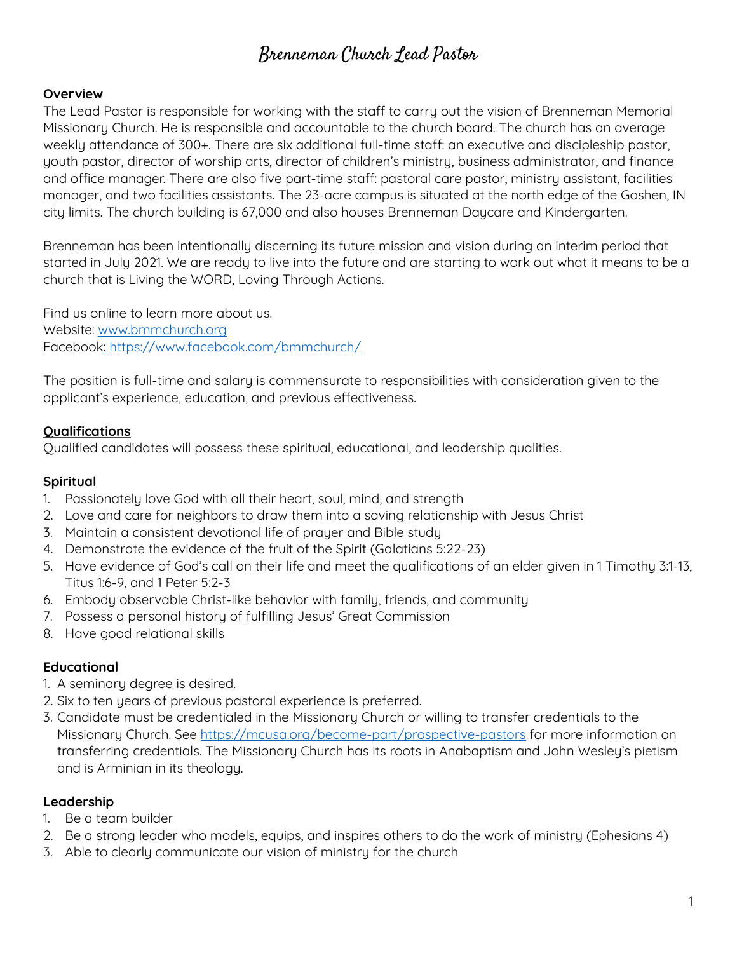# Brenneman Church Lead Pastor

#### **Overview**

The Lead Pastor is responsible for working with the staff to carry out the vision of Brenneman Memorial Missionary Church. He is responsible and accountable to the church board. The church has an average weekly attendance of 300+. There are six additional full-time staff: an executive and discipleship pastor, youth pastor, director of worship arts, director of children's ministry, business administrator, and finance and office manager. There are also five part-time staff: pastoral care pastor, ministry assistant, facilities manager, and two facilities assistants. The 23-acre campus is situated at the north edge of the Goshen, IN city limits. The church building is 67,000 and also houses Brenneman Daycare and Kindergarten.

Brenneman has been intentionally discerning its future mission and vision during an interim period that started in July 2021. We are ready to live into the future and are starting to work out what it means to be a church that is Living the WORD, Loving Through Actions.

Find us online to learn more about us. Website: [www.bmmchurch.org](http://www.bmmchurch.org) Facebook:<https://www.facebook.com/bmmchurch/>

The position is full-time and salary is commensurate to responsibilities with consideration given to the applicant's experience, education, and previous effectiveness.

#### **Qualifications**

Qualified candidates will possess these spiritual, educational, and leadership qualities.

#### **Spiritual**

- 1. Passionately love God with all their heart, soul, mind, and strength
- 2. Love and care for neighbors to draw them into a saving relationship with Jesus Christ
- 3. Maintain a consistent devotional life of prayer and Bible study
- 4. Demonstrate the evidence of the fruit of the Spirit (Galatians 5:22-23)
- 5. Have evidence of God's call on their life and meet the qualifications of an elder given in 1 Timothy 3:1-13, Titus 1:6-9, and 1 Peter 5:2-3
- 6. Embody observable Christ-like behavior with family, friends, and community
- 7. Possess a personal history of fulfilling Jesus' Great Commission
- 8. Have good relational skills

## **Educational**

- 1. A seminary degree is desired.
- 2. Six to ten years of previous pastoral experience is preferred.
- 3. Candidate must be credentialed in the Missionary Church or willing to transfer credentials to the Missionary Church. See <https://mcusa.org/become-part/prospective-pastors> for more information on transferring credentials. The Missionary Church has its roots in Anabaptism and John Wesley's pietism and is Arminian in its theology.

## **Leadership**

- 1. Be a team builder
- 2. Be a strong leader who models, equips, and inspires others to do the work of ministry (Ephesians 4)
- 3. Able to clearly communicate our vision of ministry for the church